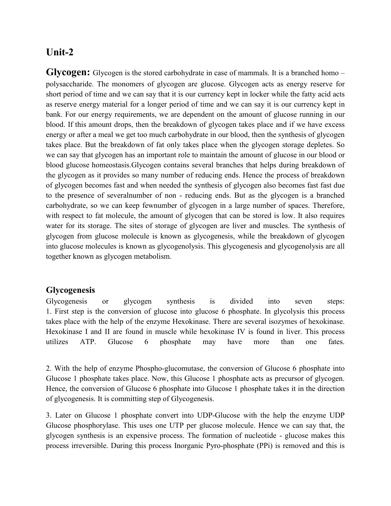## **Unit-2**

**Glycogen:** Glycogen is the stored carbohydrate in case of mammals. It is a branched homo – polysaccharide. The monomers of glycogen are glucose. Glycogen acts as energy reserve for short period of time and we can say that it is our currency kept in locker while the fatty acid acts as reserve energy material for a longer period of time and we can say it is our currency kept in bank. For our energy requirements, we are dependent on the amount of glucose running in our blood. If this amount drops, then the breakdown of glycogen takes place and if we have excess energy or after a meal we get too much carbohydrate in our blood, then the synthesis of glycogen takes place. But the breakdown of fat only takes place when the glycogen storage depletes. So we can say that glycogen has an important role to maintain the amount of glucose in our blood or blood glucose homeostasis.Glycogen contains several branches that helps during breakdown of the glycogen as it provides so many number of reducing ends. Hence the process of breakdown of glycogen becomes fast and when needed the synthesis of glycogen also becomes fast fast due to the presence of severalnumber of non - reducing ends. But as the glycogen is a branched carbohydrate, so we can keep fewnumber of glycogen in a large number of spaces. Therefore, with respect to fat molecule, the amount of glycogen that can be stored is low. It also requires water for its storage. The sites of storage of glycogen are liver and muscles. The synthesis of glycogen from glucose molecule is known as glycogenesis, while the breakdown of glycogen into glucose molecules is known as glycogenolysis. This glycogenesis and glycogenolysis are all together known as glycogen metabolism.

## **Glycogenesis**

Glycogenesis or glycogen synthesis is divided into seven steps: 1. First step is the conversion of glucose into glucose 6 phosphate. In glycolysis this process takes place with the help of the enzyme Hexokinase. There are several isozymes of hexokinase. Hexokinase I and II are found in muscle while hexokinase IV is found in liver. This process utilizes ATP. Glucose 6 phosphate may have more than one fates.

2. With the help of enzyme Phospho-glucomutase, the conversion of Glucose 6 phosphate into Glucose 1 phosphate takes place. Now, this Glucose 1 phosphate acts as precursor of glycogen. Hence, the conversion of Glucose 6 phosphate into Glucose 1 phosphate takes it in the direction of glycogenesis. It is committing step of Glycogenesis.

3. Later on Glucose 1 phosphate convert into UDP-Glucose with the help the enzyme UDP Glucose phosphorylase. This uses one UTP per glucose molecule. Hence we can say that, the glycogen synthesis is an expensive process. The formation of nucleotide - glucose makes this process irreversible. During this process Inorganic Pyro-phosphate (PPi) is removed and this is